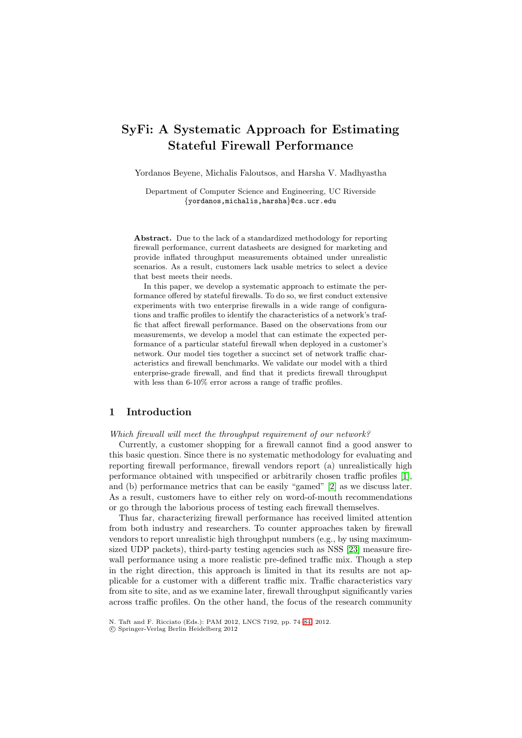# **SyFi: A Systematic Approach for Estimating Stateful Firewall Performance**

Yordanos Beyene, Michalis Faloutsos, and Harsha V. Madhyastha

Department of Computer Science and Engineering, UC Riverside *{*yordanos,michalis,harsha*}*@cs.ucr.edu

**Abstract.** Due to the lack of a standardized methodology for reporting firewall performance, current datasheets are designed for marketing and provide inflated throughput measurements obtained under unrealistic scenarios. As a result, customers lack usable metrics to select a device that best meets their needs.

In this paper, we develop a systematic approach to estimate the performance offered by stateful firewalls. To do so, we first conduct extensive experiments with two enterprise firewalls in a wide range of configurations and traffic profiles to identify the characteristics of a network's traffic that affect firewall performance. Based on the observations from our measurements, we develop a model that can estimate the expected performance of a particular stateful firewall when deployed in a customer's network. Our model ties together a succinct set of network traffic characteristics and firewall benchmarks. We validate our model with a third enterprise-grade firewall, and find that it predicts firewall throughput with less than 6-10% error across a range of traffic profiles.

## **1 Introduction**

#### *Which firewall will meet the throughput requirement of our network?*

Currently, a customer shopping for a firewall cannot find a good answer to this basic question. Since there is no systematic methodology for evaluating and reporting firewall performance, firewall vendors report (a) unrealistically high performance obtained with unspecified or arbitrarily chosen traffic profiles [\[1\]](#page-9-0), and (b) performance metrics that can be easily "gamed" [\[2\]](#page-9-1) as we discuss later. As a result, customers have to either rely on word-of-mouth recommendations or go through the laborious process of testing each firewall themselves.

Thus far, characterizing firewall performance has received limited attention from both industry and researchers. To counter approaches taken by firewall vendors to report unrealistic high throughput numbers (e.g., by using maximumsized UDP packets), third-party testing agencies such as NSS [\[23\]](#page-10-0) measure firewall performance using a more realistic pre-defined traffic mix. Though a step in the right direction, this approach is limited in that its results are not applicable for a customer with a different traffic mix. Traffic characteristics vary from site to site, and as we examine later, firewall throughput significantly varies across traffic profiles. On the other hand, the focus of the research community

N. Taft and F. Ricciato (Eds.): PAM 2012, LNCS 7192, pp. 74[–84,](#page-9-2) 2012.

<sup>-</sup>c Springer-Verlag Berlin Heidelberg 2012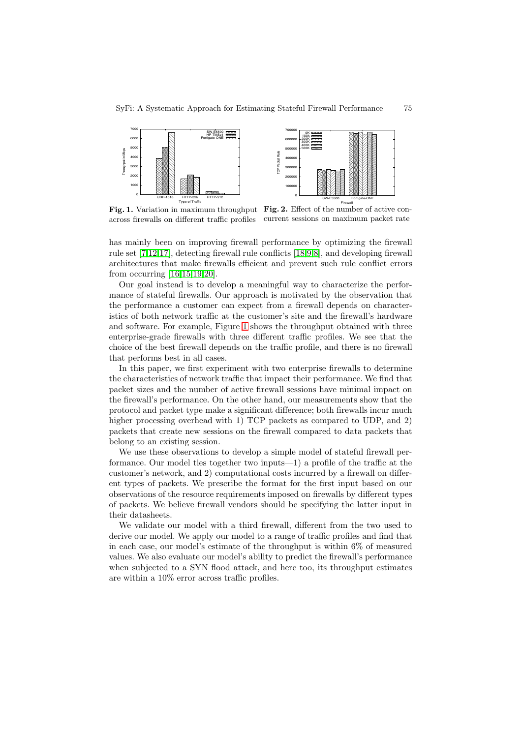<span id="page-1-0"></span>

Fig. 1. Variation in maximum throughput Fig. 2. Effect of the number of active con-<br>excess fromalls on different traffic profiles current sessions on maximum packet rate across firewalls on different traffic profiles current sessions on maximum packet rate

has mainly been on improving firewall performance by optimizing the firewall rule set [\[7](#page-9-3)[,12](#page-10-1)[,17\]](#page-10-2), detecting firewall rule conflicts [\[18](#page-10-3)[,9](#page-9-4)[,8\]](#page-9-5), and developing firewall architectures that make firewalls efficient and prevent such rule conflict errors from occurring [\[16](#page-10-4)[,15](#page-10-5)[,19](#page-10-6)[,20\]](#page-10-7).

Our goal instead is to develop a meaningful way to characterize the performance of stateful firewalls. Our approach is motivated by the observation that the performance a customer can expect from a firewall depends on characteristics of both network traffic at the customer's site and the firewall's hardware and software. For example, Figure [1](#page-1-0) shows the throughput obtained with three enterprise-grade firewalls with three different traffic profiles. We see that the choice of the best firewall depends on the traffic profile, and there is no firewall that performs best in all cases.

In this paper, we first experiment with two enterprise firewalls to determine the characteristics of network traffic that impact their performance. We find that packet sizes and the number of active firewall sessions have minimal impact on the firewall's performance. On the other hand, our measurements show that the protocol and packet type make a significant difference; both firewalls incur much higher processing overhead with 1) TCP packets as compared to UDP, and 2) packets that create new sessions on the firewall compared to data packets that belong to an existing session.

We use these observations to develop a simple model of stateful firewall performance. Our model ties together two inputs—1) a profile of the traffic at the customer's network, and 2) computational costs incurred by a firewall on different types of packets. We prescribe the format for the first input based on our observations of the resource requirements imposed on firewalls by different types of packets. We believe firewall vendors should be specifying the latter input in their datasheets.

We validate our model with a third firewall, different from the two used to derive our model. We apply our model to a range of traffic profiles and find that in each case, our model's estimate of the throughput is within 6% of measured values. We also evaluate our model's ability to predict the firewall's performance when subjected to a SYN flood attack, and here too, its throughput estimates are within a 10% error across traffic profiles.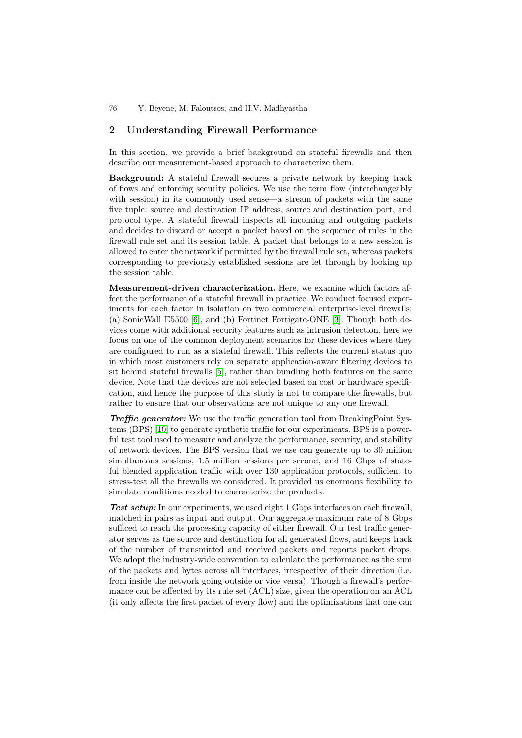# <span id="page-2-0"></span>**2 Understanding Firewall Performance**

In this section, we provide a brief background on stateful firewalls and then describe our measurement-based approach to characterize them.

**Background:** A stateful firewall secures a private network by keeping track of flows and enforcing security policies. We use the term flow (interchangeably with session) in its commonly used sense—a stream of packets with the same five tuple: source and destination IP address, source and destination port, and protocol type. A stateful firewall inspects all incoming and outgoing packets and decides to discard or accept a packet based on the sequence of rules in the firewall rule set and its session table. A packet that belongs to a new session is allowed to enter the network if permitted by the firewall rule set, whereas packets corresponding to previously established sessions are let through by looking up the session table.

**Measurement-driven characterization.** Here, we examine which factors affect the performance of a stateful firewall in practice. We conduct focused experiments for each factor in isolation on two commercial enterprise-level firewalls: (a) SonicWall E5500 [\[6\]](#page-9-6), and (b) Fortinet Fortigate-ONE [\[3\]](#page-9-7). Though both devices come with additional security features such as intrusion detection, here we focus on one of the common deployment scenarios for these devices where they are configured to run as a stateful firewall. This reflects the current status quo in which most customers rely on separate application-aware filtering devices to sit behind stateful firewalls [\[5\]](#page-9-8), rather than bundling both features on the same device. Note that the devices are not selected based on cost or hardware specification, and hence the purpose of this study is not to compare the firewalls, but rather to ensure that our observations are not unique to any one firewall.

*Traffic generator:* We use the traffic generation tool from BreakingPoint Systems (BPS) [\[10\]](#page-9-9) to generate synthetic traffic for our experiments. BPS is a powerful test tool used to measure and analyze the performance, security, and stability of network devices. The BPS version that we use can generate up to 30 million simultaneous sessions, 1.5 million sessions per second, and 16 Gbps of stateful blended application traffic with over 130 application protocols, sufficient to stress-test all the firewalls we considered. It provided us enormous flexibility to simulate conditions needed to characterize the products.

Test setup: In our experiments, we used eight 1 Gbps interfaces on each firewall, matched in pairs as input and output. Our aggregate maximum rate of 8 Gbps sufficed to reach the processing capacity of either firewall. Our test traffic generator serves as the source and destination for all generated flows, and keeps track of the number of transmitted and received packets and reports packet drops. We adopt the industry-wide convention to calculate the performance as the sum of the packets and bytes across all interfaces, irrespective of their direction (i.e. from inside the network going outside or vice versa). Though a firewall's performance can be affected by its rule set (ACL) size, given the operation on an ACL (it only affects the first packet of every flow) and the optimizations that one can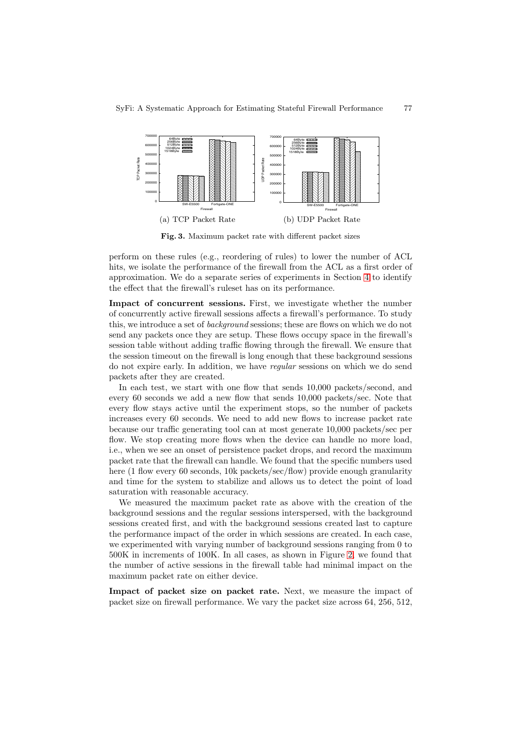<span id="page-3-0"></span>

<span id="page-3-1"></span>**Fig. 3.** Maximum packet rate with different packet sizes

perform on these rules (e.g., reordering of rules) to lower the number of ACL hits, we isolate the performance of the firewall from the ACL as a first order of approximation. We do a separate series of experiments in Section [4](#page-6-0) to identify the effect that the firewall's ruleset has on its performance.

**Impact of concurrent sessions.** First, we investigate whether the number of concurrently active firewall sessions affects a firewall's performance. To study this, we introduce a set of *background* sessions; these are flows on which we do not send any packets once they are setup. These flows occupy space in the firewall's session table without adding traffic flowing through the firewall. We ensure that the session timeout on the firewall is long enough that these background sessions do not expire early. In addition, we have *regular* sessions on which we do send packets after they are created.

In each test, we start with one flow that sends 10,000 packets/second, and every 60 seconds we add a new flow that sends 10,000 packets/sec. Note that every flow stays active until the experiment stops, so the number of packets increases every 60 seconds. We need to add new flows to increase packet rate because our traffic generating tool can at most generate 10,000 packets/sec per flow. We stop creating more flows when the device can handle no more load, i.e., when we see an onset of persistence packet drops, and record the maximum packet rate that the firewall can handle. We found that the specific numbers used here (1 flow every 60 seconds, 10k packets/sec/flow) provide enough granularity and time for the system to stabilize and allows us to detect the point of load saturation with reasonable accuracy.

We measured the maximum packet rate as above with the creation of the background sessions and the regular sessions interspersed, with the background sessions created first, and with the background sessions created last to capture the performance impact of the order in which sessions are created. In each case, we experimented with varying number of background sessions ranging from 0 to 500K in increments of 100K. In all cases, as shown in Figure [2,](#page-1-0) we found that the number of active sessions in the firewall table had minimal impact on the maximum packet rate on either device.

**Impact of packet size on packet rate.** Next, we measure the impact of packet size on firewall performance. We vary the packet size across 64, 256, 512,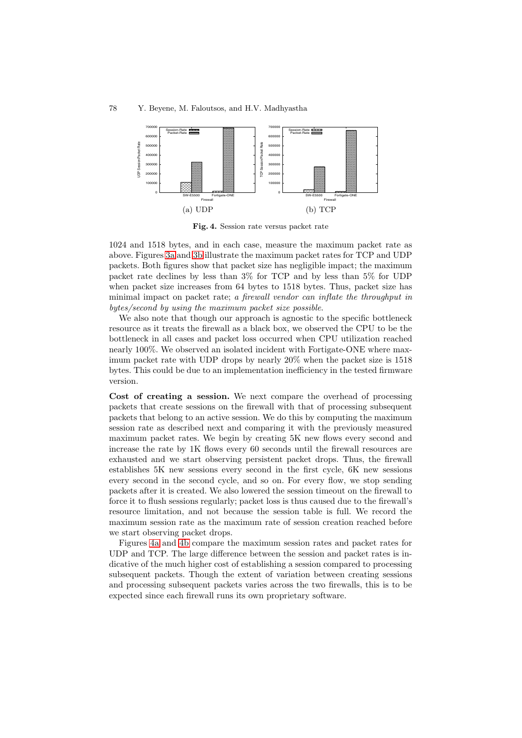<span id="page-4-0"></span>



<span id="page-4-1"></span>**Fig. 4.** Session rate versus packet rate

1024 and 1518 bytes, and in each case, measure the maximum packet rate as above. Figures [3a](#page-3-0) and [3b](#page-3-1) illustrate the maximum packet rates for TCP and UDP packets. Both figures show that packet size has negligible impact; the maximum packet rate declines by less than 3% for TCP and by less than 5% for UDP when packet size increases from 64 bytes to 1518 bytes. Thus, packet size has minimal impact on packet rate; *a firewall vendor can inflate the throughput in bytes/second by using the maximum packet size possible*.

We also note that though our approach is agnostic to the specific bottleneck resource as it treats the firewall as a black box, we observed the CPU to be the bottleneck in all cases and packet loss occurred when CPU utilization reached nearly 100%. We observed an isolated incident with Fortigate-ONE where maximum packet rate with UDP drops by nearly 20% when the packet size is 1518 bytes. This could be due to an implementation inefficiency in the tested firmware version.

**Cost of creating a session.** We next compare the overhead of processing packets that create sessions on the firewall with that of processing subsequent packets that belong to an active session. We do this by computing the maximum session rate as described next and comparing it with the previously measured maximum packet rates. We begin by creating 5K new flows every second and increase the rate by 1K flows every 60 seconds until the firewall resources are exhausted and we start observing persistent packet drops. Thus, the firewall establishes 5K new sessions every second in the first cycle, 6K new sessions every second in the second cycle, and so on. For every flow, we stop sending packets after it is created. We also lowered the session timeout on the firewall to force it to flush sessions regularly; packet loss is thus caused due to the firewall's resource limitation, and not because the session table is full. We record the maximum session rate as the maximum rate of session creation reached before we start observing packet drops.

Figures [4a](#page-4-0) and [4b](#page-4-1) compare the maximum session rates and packet rates for UDP and TCP. The large difference between the session and packet rates is indicative of the much higher cost of establishing a session compared to processing subsequent packets. Though the extent of variation between creating sessions and processing subsequent packets varies across the two firewalls, this is to be expected since each firewall runs its own proprietary software.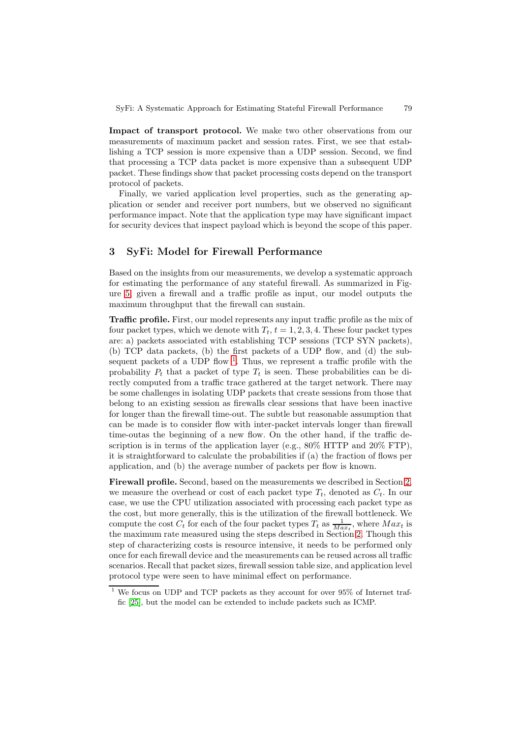**Impact of transport protocol.** We make two other observations from our measurements of maximum packet and session rates. First, we see that establishing a TCP session is more expensive than a UDP session. Second, we find that processing a TCP data packet is more expensive than a subsequent UDP packet. These findings show that packet processing costs depend on the transport protocol of packets.

Finally, we varied application level properties, such as the generating application or sender and receiver port numbers, but we observed no significant performance impact. Note that the application type may have significant impact for security devices that inspect payload which is beyond the scope of this paper.

## <span id="page-5-1"></span>**3 SyFi: Model for Firewall Performance**

Based on the insights from our measurements, we develop a systematic approach for estimating the performance of any stateful firewall. As summarized in Figure [5,](#page-6-1) given a firewall and a traffic profile as input, our model outputs the maximum throughput that the firewall can sustain.

**Traffic profile.** First, our model represents any input traffic profile as the mix of four packet types, which we denote with  $T_t$ ,  $t = 1, 2, 3, 4$ . These four packet types are: a) packets associated with establishing TCP sessions (TCP SYN packets), (b) TCP data packets, (b) the first packets of a UDP flow, and (d) the subsequent packets of a UDP flow  $1$ . Thus, we represent a traffic profile with the probability  $P_t$  that a packet of type  $T_t$  is seen. These probabilities can be directly computed from a traffic trace gathered at the target network. There may be some challenges in isolating UDP packets that create sessions from those that belong to an existing session as firewalls clear sessions that have been inactive for longer than the firewall time-out. The subtle but reasonable assumption that can be made is to consider flow with inter-packet intervals longer than firewall time-outas the beginning of a new flow. On the other hand, if the traffic description is in terms of the application layer (e.g., 80% HTTP and 20% FTP), it is straightforward to calculate the probabilities if (a) the fraction of flows per application, and (b) the average number of packets per flow is known.

**Firewall profile.** Second, based on the measurements we described in Section [2,](#page-2-0) we measure the overhead or cost of each packet type  $T_t$ , denoted as  $C_t$ . In our case, we use the CPU utilization associated with processing each packet type as the cost, but more generally, this is the utilization of the firewall bottleneck. We compute the cost  $C_t$  for each of the four packet types  $T_t$  as  $\frac{1}{Max_t}$ , where  $Max_t$  is the maximum rate measured using the steps described in Section [2.](#page-2-0) Though this step of characterizing costs is resource intensive, it needs to be performed only once for each firewall device and the measurements can be reused across all traffic scenarios. Recall that packet sizes, firewall session table size, and application level protocol type were seen to have minimal effect on performance.

<span id="page-5-0"></span>We focus on UDP and TCP packets as they account for over 95% of Internet traffic [\[25\]](#page-10-8), but the model can be extended to include packets such as ICMP.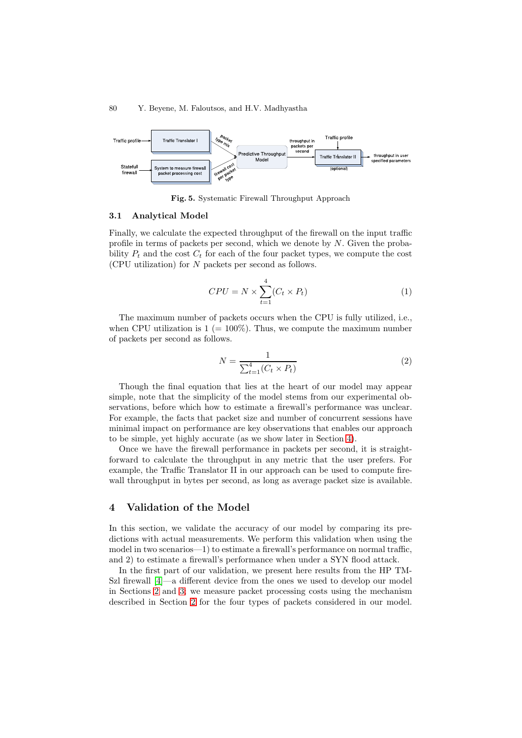#### <span id="page-6-1"></span>80 Y. Beyene, M. Faloutsos, and H.V. Madhyastha



**Fig. 5.** Systematic Firewall Throughput Approach

#### **3.1 Analytical Model**

Finally, we calculate the expected throughput of the firewall on the input traffic profile in terms of packets per second, which we denote by *N*. Given the probability  $P_t$  and the cost  $C_t$  for each of the four packet types, we compute the cost (CPU utilization) for *N* packets per second as follows.

$$
CPU = N \times \sum_{t=1}^{4} (C_t \times P_t)
$$
\n<sup>(1)</sup>

The maximum number of packets occurs when the CPU is fully utilized, i.e., when CPU utilization is  $1 (= 100\%)$ . Thus, we compute the maximum number of packets per second as follows.

$$
N = \frac{1}{\sum_{t=1}^{4} (C_t \times P_t)}
$$
\n(2)

Though the final equation that lies at the heart of our model may appear simple, note that the simplicity of the model stems from our experimental observations, before which how to estimate a firewall's performance was unclear. For example, the facts that packet size and number of concurrent sessions have minimal impact on performance are key observations that enables our approach to be simple, yet highly accurate (as we show later in Section [4\)](#page-6-0).

Once we have the firewall performance in packets per second, it is straightforward to calculate the throughput in any metric that the user prefers. For example, the Traffic Translator II in our approach can be used to compute firewall throughput in bytes per second, as long as average packet size is available.

## <span id="page-6-0"></span>**4 Validation of the Model**

In this section, we validate the accuracy of our model by comparing its predictions with actual measurements. We perform this validation when using the model in two scenarios—1) to estimate a firewall's performance on normal traffic, and 2) to estimate a firewall's performance when under a SYN flood attack.

In the first part of our validation, we present here results from the HP TM-Szl firewall [\[4\]](#page-9-10)—a different device from the ones we used to develop our model in Sections [2](#page-2-0) and [3;](#page-5-1) we measure packet processing costs using the mechanism described in Section [2](#page-2-0) for the four types of packets considered in our model.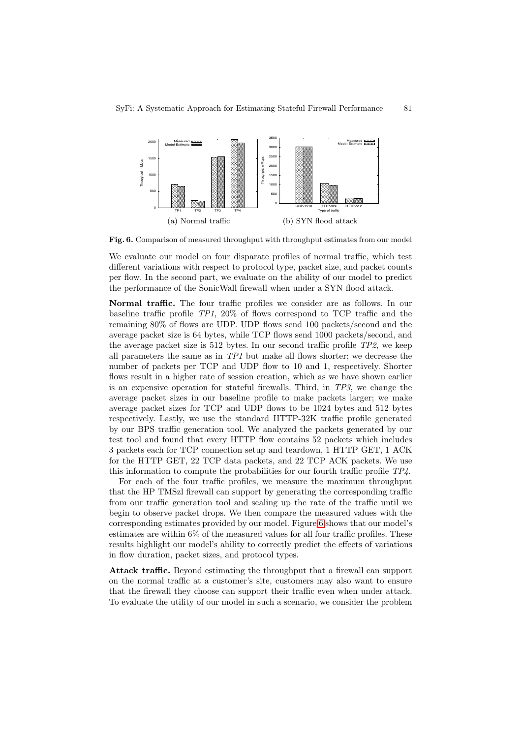<span id="page-7-0"></span>

**Fig. 6.** Comparison of measured throughput with throughput estimates from our model

We evaluate our model on four disparate profiles of normal traffic, which test different variations with respect to protocol type, packet size, and packet counts per flow. In the second part, we evaluate on the ability of our model to predict the performance of the SonicWall firewall when under a SYN flood attack.

**Normal traffic.** The four traffic profiles we consider are as follows. In our baseline traffic profile *TP1*, 20% of flows correspond to TCP traffic and the remaining 80% of flows are UDP. UDP flows send 100 packets/second and the average packet size is 64 bytes, while TCP flows send 1000 packets/second, and the average packet size is 512 bytes. In our second traffic profile *TP2*, we keep all parameters the same as in *TP1* but make all flows shorter; we decrease the number of packets per TCP and UDP flow to 10 and 1, respectively. Shorter flows result in a higher rate of session creation, which as we have shown earlier is an expensive operation for stateful firewalls. Third, in *TP3*, we change the average packet sizes in our baseline profile to make packets larger; we make average packet sizes for TCP and UDP flows to be 1024 bytes and 512 bytes respectively. Lastly, we use the standard HTTP-32K traffic profile generated by our BPS traffic generation tool. We analyzed the packets generated by our test tool and found that every HTTP flow contains 52 packets which includes 3 packets each for TCP connection setup and teardown, 1 HTTP GET, 1 ACK for the HTTP GET, 22 TCP data packets, and 22 TCP ACK packets. We use this information to compute the probabilities for our fourth traffic profile *TP4*.

For each of the four traffic profiles, we measure the maximum throughput that the HP TMSzl firewall can support by generating the corresponding traffic from our traffic generation tool and scaling up the rate of the traffic until we begin to observe packet drops. We then compare the measured values with the corresponding estimates provided by our model. Figure [6](#page-7-0) shows that our model's estimates are within 6% of the measured values for all four traffic profiles. These results highlight our model's ability to correctly predict the effects of variations in flow duration, packet sizes, and protocol types.

**Attack traffic.** Beyond estimating the throughput that a firewall can support on the normal traffic at a customer's site, customers may also want to ensure that the firewall they choose can support their traffic even when under attack. To evaluate the utility of our model in such a scenario, we consider the problem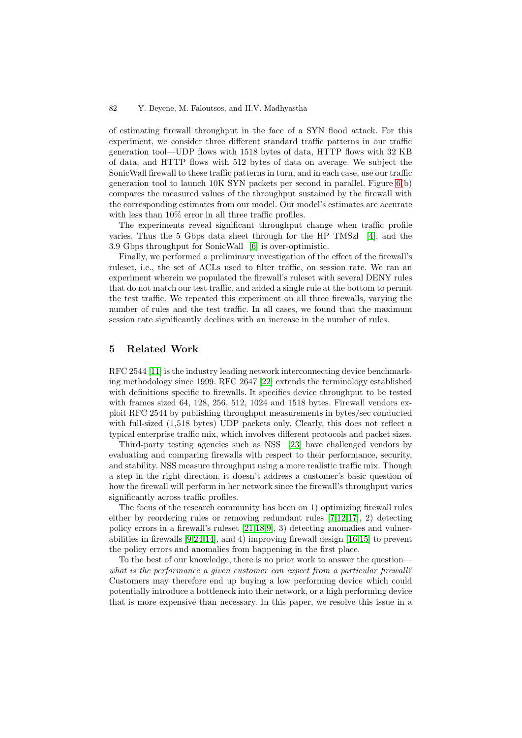#### 82 Y. Beyene, M. Faloutsos, and H.V. Madhyastha

of estimating firewall throughput in the face of a SYN flood attack. For this experiment, we consider three different standard traffic patterns in our traffic generation tool—UDP flows with 1518 bytes of data, HTTP flows with 32 KB of data, and HTTP flows with 512 bytes of data on average. We subject the SonicWall firewall to these traffic patterns in turn, and in each case, use our traffic generation tool to launch 10K SYN packets per second in parallel. Figure [6\(](#page-7-0)b) compares the measured values of the throughput sustained by the firewall with the corresponding estimates from our model. Our model's estimates are accurate with less than  $10\%$  error in all three traffic profiles.

The experiments reveal significant throughput change when traffic profile varies. Thus the 5 Gbps data sheet through for the HP TMSzl [\[4\]](#page-9-10), and the 3.9 Gbps throughput for SonicWall [\[6\]](#page-9-6) is over-optimistic.

Finally, we performed a preliminary investigation of the effect of the firewall's ruleset, i.e., the set of ACLs used to filter traffic, on session rate. We ran an experiment wherein we populated the firewall's ruleset with several DENY rules that do not match our test traffic, and added a single rule at the bottom to permit the test traffic. We repeated this experiment on all three firewalls, varying the number of rules and the test traffic. In all cases, we found that the maximum session rate significantly declines with an increase in the number of rules.

## **5 Related Work**

RFC 2544 [\[11\]](#page-10-9) is the industry leading network interconnecting device benchmarking methodology since 1999. RFC 2647 [\[22\]](#page-10-10) extends the terminology established with definitions specific to firewalls. It specifies device throughput to be tested with frames sized 64, 128, 256, 512, 1024 and 1518 bytes. Firewall vendors exploit RFC 2544 by publishing throughput measurements in bytes/sec conducted with full-sized (1,518 bytes) UDP packets only. Clearly, this does not reflect a typical enterprise traffic mix, which involves different protocols and packet sizes.

Third-party testing agencies such as NSS [\[23\]](#page-10-0) have challenged vendors by evaluating and comparing firewalls with respect to their performance, security, and stability. NSS measure throughput using a more realistic traffic mix. Though a step in the right direction, it doesn't address a customer's basic question of how the firewall will perform in her network since the firewall's throughput varies significantly across traffic profiles.

The focus of the research community has been on 1) optimizing firewall rules either by reordering rules or removing redundant rules  $[7,12,17]$  $[7,12,17]$  $[7,12,17]$ , 2) detecting policy errors in a firewall's ruleset [\[21,](#page-10-11)[18,](#page-10-3)[9\]](#page-9-4), 3) detecting anomalies and vulnerabilities in firewalls [\[9](#page-9-4)[,24](#page-10-12)[,14\]](#page-10-13), and 4) improving firewall design [\[16](#page-10-4)[,15\]](#page-10-5) to prevent the policy errors and anomalies from happening in the first place.

To the best of our knowledge, there is no prior work to answer the question *what is the performance a given customer can expect from a particular firewall?* Customers may therefore end up buying a low performing device which could potentially introduce a bottleneck into their network, or a high performing device that is more expensive than necessary. In this paper, we resolve this issue in a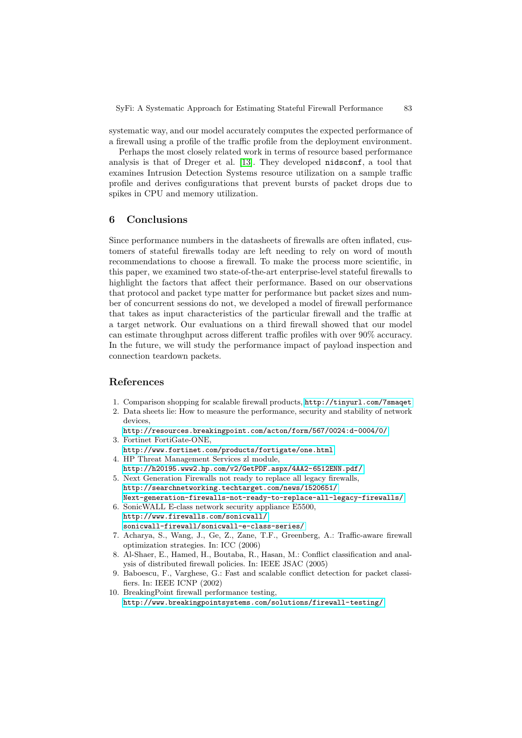systematic way, and our model accurately computes the expected performance of a firewall using a profile of the traffic profile from the deployment environment.

Perhaps the most closely related work in terms of resource based performance analysis is that of Dreger et al. [\[13\]](#page-10-14). They developed nidsconf, a tool that examines Intrusion Detection Systems resource utilization on a sample traffic profile and derives configurations that prevent bursts of packet drops due to spikes in CPU and memory utilization.

## **6 Conclusions**

Since performance numbers in the datasheets of firewalls are often inflated, customers of stateful firewalls today are left needing to rely on word of mouth recommendations to choose a firewall. To make the process more scientific, in this paper, we examined two state-of-the-art enterprise-level stateful firewalls to highlight the factors that affect their performance. Based on our observations that protocol and packet type matter for performance but packet sizes and number of concurrent sessions do not, we developed a model of firewall performance that takes as input characteristics of the particular firewall and the traffic at a target network. Our evaluations on a third firewall showed that our model can estimate throughput across different traffic profiles with over 90% accuracy. In the future, we will study the performance impact of payload inspection and connection teardown packets.

## <span id="page-9-2"></span>**References**

- <span id="page-9-1"></span><span id="page-9-0"></span>1. Comparison shopping for scalable firewall products, <http://tinyurl.com/7smaqet>
- 2. Data sheets lie: How to measure the performance, security and stability of network devices,
- <span id="page-9-7"></span><http://resources.breakingpoint.com/acton/form/567/0024:d-0004/0/> 3. Fortinet FortiGate-ONE,
- <span id="page-9-10"></span><http://www.fortinet.com/products/fortigate/one.html> 4. HP Threat Management Services zl module,
- <span id="page-9-8"></span><http://h20195.www2.hp.com/v2/GetPDF.aspx/4AA2-6512ENN.pdf/>
- 5. Next Generation Firewalls not ready to replace all legacy firewalls, [http://searchnetworking.techtarget.com/news/1520651/](http://searchnetworking.techtarget.com/news/1520651/Next-generation-firewalls-not-ready-to-replace-all-legacy-firewalls/) [Next-generation-firewalls-not-ready-to-replace-all-legacy-firewalls/](http://searchnetworking.techtarget.com/news/1520651/Next-generation-firewalls-not-ready-to-replace-all-legacy-firewalls/)
- <span id="page-9-6"></span>6. SonicWALL E-class network security appliance E5500, [http://www.firewalls.com/sonicwall/](http://www.firewalls.com/sonicwall/sonicwall-firewall/sonicwall-e-class-series/) [sonicwall-firewall/sonicwall-e-class-series/](http://www.firewalls.com/sonicwall/sonicwall-firewall/sonicwall-e-class-series/)
- <span id="page-9-3"></span>7. Acharya, S., Wang, J., Ge, Z., Zane, T.F., Greenberg, A.: Traffic-aware firewall optimization strategies. In: ICC (2006)
- <span id="page-9-5"></span>8. Al-Shaer, E., Hamed, H., Boutaba, R., Hasan, M.: Conflict classification and analysis of distributed firewall policies. In: IEEE JSAC (2005)
- <span id="page-9-4"></span>9. Baboescu, F., Varghese, G.: Fast and scalable conflict detection for packet classifiers. In: IEEE ICNP (2002)
- <span id="page-9-9"></span>10. BreakingPoint firewall performance testing, <http://www.breakingpointsystems.com/solutions/firewall-testing/>